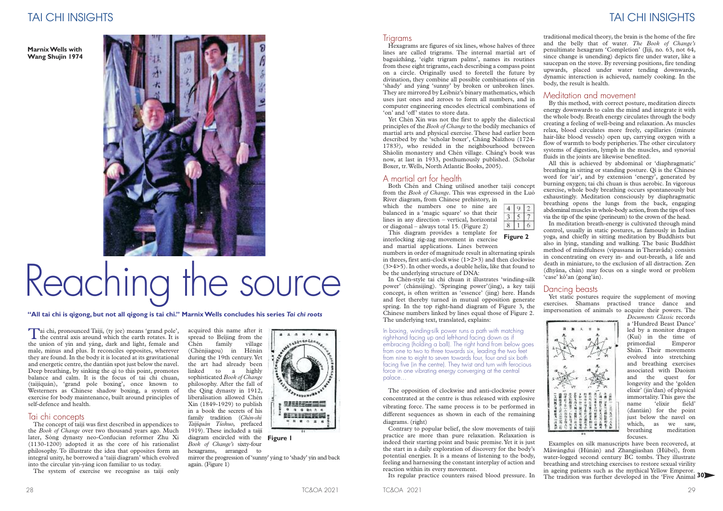acquired this name after it spread to Beîjing from the<br>Chén family village Chén family (Chénjiagou) in Hénán during the 19th century.Yet the art had already been linked to a highly sophisticated *Book of Change* philosophy. After the fall of the Qing dynasty in 1912, liberalisation allowed Chén Xin (1849-1929) to publish in a book the secrets of his family tradition (*Chén-shì Taìjíquán Túshuo*, prefaced 1919). These included a taìjí diagram encircled with the **Figure 1** *Book of Change's* sixty-four hexagrams, arranged to



mirror the progression of'sunny' yáng to 'shady' yin and back again.(Figure 1)

#### **Trigrams**

Tai chi, pronounced Taìjí, (ty jee) means 'grand pole', the central axis around which the earth rotates. It is the union of yin and yáng, dark and light, female and male, minus and plus. It reconciles opposites, wherever they are found. In the body it is located at its gravitational and energetic centre, the dantián spot just below the navel. Deep breathing, by sinking the qì to this point, promotes balance and calm. It is the focus of tai chi chuan, (taìjíquán), 'grand pole boxing', once known to Westerners as Chinese shadow boxing, a system of exercise for body maintenance, built around principles of self-defence and health.

The concept of taijí was first described in appendices to the *Book of Change* over two thousand years ago. Much later, Sòng dynasty neo-Confucian reformer Zhu Xi (1130-1200) adopted it as the core of his rationalist philosophy. To illustrate the idea that opposites form an integral unity, he borrowed a 'taìjí diagram' which evolved into the circular yin-yáng icon familiar to us today.

The system of exercise we recognise as taiji only

#### Tai chi concepts

## TAI CHI INSIGHTS TAI CHI INSIGHTS

# Reaching the source

"All tai chi is gigong, but not all gigong is tai chi." Marnix Wells concludes his series Tai chi roots

Hexagrams are figures of six lines, whose halves of three lines are called trigrams. The internal martial art of baguàzhâng, 'eight trigram palms', names its routines from these eight trigrams, each describing a compass point on a circle. Originally used to foretell the future by divination, they combine all possible combinations of yin 'shady' and yáng 'sunny' by broken or unbroken lines. They are mirrored by Leibniz's binary mathematics, which uses just ones and zeroes to form all numbers, and in computer engineering encodes electrical combinations of 'on' and 'off' states to store data.

Yet Chén Xin was not the first to apply the dialectical principles of the *Book of Change* to the bodily mechanics of martial arts and physical exercise. These had earlier been described by the 'scholar boxer', Cháng Naîzhou (1724- 1783?), who resided in the neighbourhood between Shàolín monastery and Chén village. Cháng's book was now, at last in 1933, posthumously published. (Scholar Boxer, tr.Wells, North Atlantic Books, 2005).

### A martial art for health

Both Chén and Cháng utilised another taìjí concept from the *Book of Change.* This was expressed in the Luò River diagram, from Chinese prehistory, in

which the numbers one to nine are balanced in a 'magic square' so that their lines in any direction – vertical, horizontal or diagonal – always total 15. (Figure 2)

 $492$  $\overline{3}$  $\overline{\mathcal{S}}$  $\overline{7}$  $8|1|6$ 

numbers in order of magnitude result in alternating spirals in threes, first anti-clock wise (1>2>3) and then clockwise (3>4>5). In other words, a double helix, like that found to be the underlying structure of DNA:

In Chén-style tai chi chuan it illustrates 'winding-silk power' (chánsijìng). 'Springing power'(jìng), a key taíjí concept, is often written as 'essence' (jing) here. Hands and feet thereby turned in mutual opposition generate spring. In the top right-hand diagram of Figure 3, the Chinese numbers linked by lines equal those of Figure 2. The underlying text, translated, explains:

The opposition of clockwise and anti-clockwise power concentrated at the centre is thus released with explosive vibrating force. The same process is to be performed in different sequences as shown in each of the remaining diagrams. (right)

Contrary to popular belief, the slow movements of taìjí practice are more than pure relaxation. Relaxation is indeed their starting point and basic premise.Yet it is just the start in a daily exploration of discovery for the body's potential energies. It is a means of listening to the body, feeling and harnessing the constant interplay of action and reaction within its every movement.

Its regular practice counters raised blood pressure. In

traditional medical theory, the brain is the home of the fire and the belly that of water. *The Book of Change's* penultimate hexagram 'Completion' (Jìjì, no. 63, not 64, since change is unending) depicts fire under water, like a saucepan on the stove. By reversing positions, fire tending upwards, placed under water tending downwards, dynamic interaction is achieved, namely cooking. In the body, the result is health.

#### Meditation and movement

By this method, with correct posture, meditation directs energy downwards to calm the mind and integrate it with the whole body. Breath energy circulates through the body creating a feeling of well-being and relaxation. As muscles relax, blood circulates more freely, capillaries (minute hair-like blood vessels) open up, carrying oxygen with a flow of warmth to body peripheries. The other circulatory systems of digestion, lymph in the muscles, and synovial fluids in the joints are likewise benefited.

This diagram provides a template for interlocking zig-zag movement in exercise and martial applications. Lines between **Figure 2**

All this is achieved by abdominal or 'diaphragmatic' breathing in sitting or standing posture. Qì is the Chinese word for 'air', and by extension 'energy', generated by burning oxygen; tai chi chuan is thus aerobic. In vigorous exercise, whole body breathing occurs spontaneously but exhaustingly. Meditation consciously by diaphragmatic breathing opens the lungs from the back, engaging abdominal muscles in whole-body action, from the tips of toes via the tip of the spine (perineum) to the crown of the head.

In meditation breath-energy is cultivated through mind control, usually in static postures, as famously in Indian yoga, and chiefly in sitting meditation by Buddhists but also in lying, standing and walking. The basic Buddhist method of mindfulness (vipassana in Theravâda) consists in concentrating on every in- and out-breath, a life and death in miniature, to the exclusion of all distraction. Zen (dhyâna, chán) may focus on a single word or problem 'case' kô'an (gong'àn).

#### Dancing beasts

Yet static postures require the supplement of moving exercises. Shamans practised trance dance and impersonation of animals to acquire their powers. The



*Documents Classic* records a 'Hundred Beast Dance' led by a monitor dragon (Kuí) in the time of<br>primordial Emperor primordial Shùn. Their movements evolved into stretching and breathing exercises associated with Daoism and the quest for longevity and the 'golden elixir' (jin'dan) of physical immortality. This gave the<br>name 'elixir field' name 'elixir (dantián) for the point just below the navel on which, as we saw, breathing meditation focuses.

**MarnixWells with Wang Shujin 1974**



Examples on silk manuscripts have been recovered, at Mâwángdui (Húnán) and Zhangjiashan (Húbeî), from water-logged second century BC tombs. They illustrate breathing and stretching exercises to restore sexual virility in ageing patients such as the mythical Yellow Emperor. The tradition was further developed in the 'Five Animal **30**

In boxing, winding-silk power runs a path with matching right-hand facing up and left-hand facing down as if embracing (holding a ball). The right hand from below goes from one to two to three towards six, leading the two feet from nine to eight to seven towards four, four and six both facing five (in the centre). They twist and turn with ferocious force in one vibrating energy converging at the central palace…